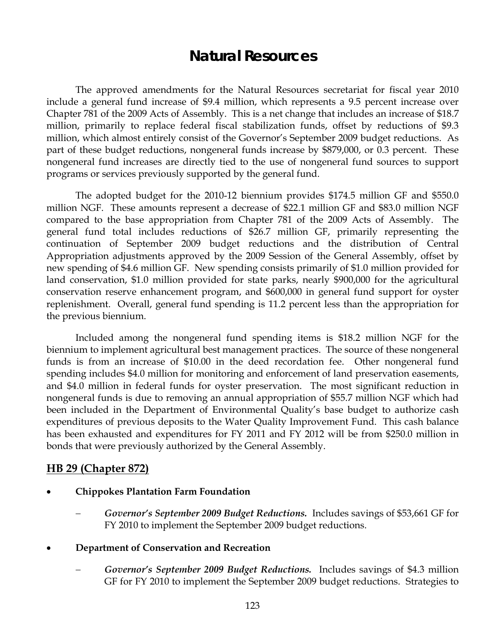# **Natural Resources**

The approved amendments for the Natural Resources secretariat for fiscal year 2010 include a general fund increase of \$9.4 million, which represents a 9.5 percent increase over Chapter 781 of the 2009 Acts of Assembly. This is a net change that includes an increase of \$18.7 million, primarily to replace federal fiscal stabilization funds, offset by reductions of \$9.3 million, which almost entirely consist of the Governor's September 2009 budget reductions. As part of these budget reductions, nongeneral funds increase by \$879,000, or 0.3 percent. These nongeneral fund increases are directly tied to the use of nongeneral fund sources to support programs or services previously supported by the general fund.

The adopted budget for the 2010-12 biennium provides \$174.5 million GF and \$550.0 million NGF. These amounts represent a decrease of \$22.1 million GF and \$83.0 million NGF compared to the base appropriation from Chapter 781 of the 2009 Acts of Assembly. The general fund total includes reductions of \$26.7 million GF, primarily representing the continuation of September 2009 budget reductions and the distribution of Central Appropriation adjustments approved by the 2009 Session of the General Assembly, offset by new spending of \$4.6 million GF. New spending consists primarily of \$1.0 million provided for land conservation, \$1.0 million provided for state parks, nearly \$900,000 for the agricultural conservation reserve enhancement program, and \$600,000 in general fund support for oyster replenishment. Overall, general fund spending is 11.2 percent less than the appropriation for the previous biennium.

Included among the nongeneral fund spending items is \$18.2 million NGF for the biennium to implement agricultural best management practices. The source of these nongeneral funds is from an increase of \$10.00 in the deed recordation fee. Other nongeneral fund spending includes \$4.0 million for monitoring and enforcement of land preservation easements, and \$4.0 million in federal funds for oyster preservation. The most significant reduction in nongeneral funds is due to removing an annual appropriation of \$55.7 million NGF which had been included in the Department of Environmental Quality's base budget to authorize cash expenditures of previous deposits to the Water Quality Improvement Fund. This cash balance has been exhausted and expenditures for FY 2011 and FY 2012 will be from \$250.0 million in bonds that were previously authorized by the General Assembly.

## **HB 29 (Chapter 872)**

- **Chippokes Plantation Farm Foundation** 
	- − *Governor's September 2009 Budget Reductions.* Includes savings of \$53,661 GF for FY 2010 to implement the September 2009 budget reductions.
- **Department of Conservation and Recreation** 
	- − *Governor's September 2009 Budget Reductions.*Includes savings of \$4.3 million GF for FY 2010 to implement the September 2009 budget reductions. Strategies to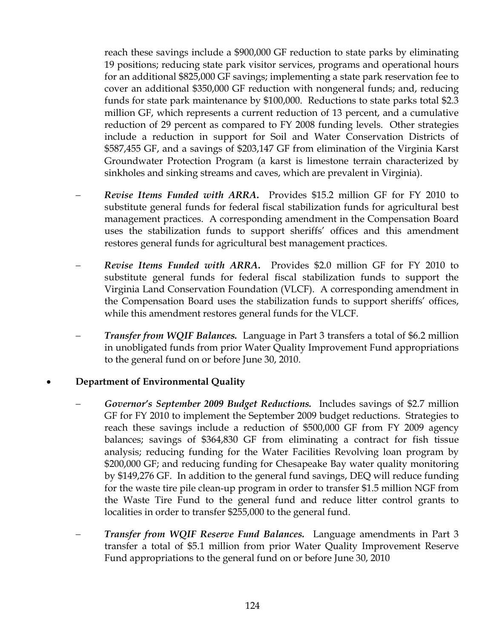reach these savings include a \$900,000 GF reduction to state parks by eliminating 19 positions; reducing state park visitor services, programs and operational hours for an additional \$825,000 GF savings; implementing a state park reservation fee to cover an additional \$350,000 GF reduction with nongeneral funds; and, reducing funds for state park maintenance by \$100,000. Reductions to state parks total \$2.3 million GF, which represents a current reduction of 13 percent, and a cumulative reduction of 29 percent as compared to FY 2008 funding levels. Other strategies include a reduction in support for Soil and Water Conservation Districts of \$587,455 GF, and a savings of \$203,147 GF from elimination of the Virginia Karst Groundwater Protection Program (a karst is limestone terrain characterized by sinkholes and sinking streams and caves, which are prevalent in Virginia).

- − *Revise Items Funded with ARRA***.** Provides \$15.2 million GF for FY 2010 to substitute general funds for federal fiscal stabilization funds for agricultural best management practices. A corresponding amendment in the Compensation Board uses the stabilization funds to support sheriffs' offices and this amendment restores general funds for agricultural best management practices.
- − *Revise Items Funded with ARRA***.** Provides \$2.0 million GF for FY 2010 to substitute general funds for federal fiscal stabilization funds to support the Virginia Land Conservation Foundation (VLCF). A corresponding amendment in the Compensation Board uses the stabilization funds to support sheriffs' offices, while this amendment restores general funds for the VLCF.
- − *Transfer from WQIF Balances.*Language in Part 3 transfers a total of \$6.2 million in unobligated funds from prior Water Quality Improvement Fund appropriations to the general fund on or before June 30, 2010.

#### • **Department of Environmental Quality**

- − *Governor's September 2009 Budget Reductions.* Includes savings of \$2.7 million GF for FY 2010 to implement the September 2009 budget reductions. Strategies to reach these savings include a reduction of \$500,000 GF from FY 2009 agency balances; savings of \$364,830 GF from eliminating a contract for fish tissue analysis; reducing funding for the Water Facilities Revolving loan program by \$200,000 GF; and reducing funding for Chesapeake Bay water quality monitoring by \$149,276 GF. In addition to the general fund savings, DEQ will reduce funding for the waste tire pile clean-up program in order to transfer \$1.5 million NGF from the Waste Tire Fund to the general fund and reduce litter control grants to localities in order to transfer \$255,000 to the general fund.
- − *Transfer from WQIF Reserve Fund Balances.* Language amendments in Part 3 transfer a total of \$5.1 million from prior Water Quality Improvement Reserve Fund appropriations to the general fund on or before June 30, 2010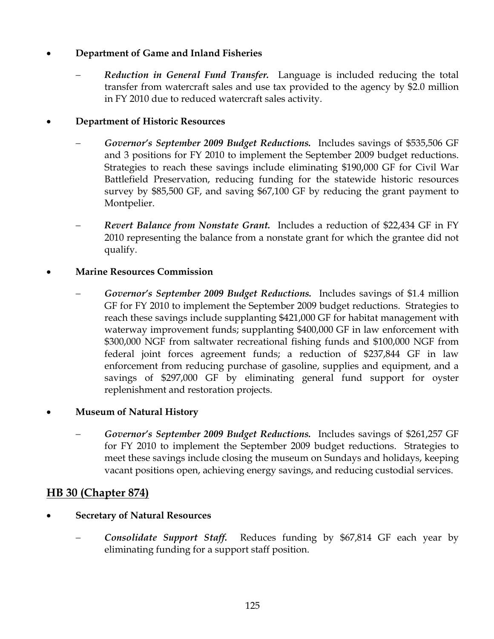## • **Department of Game and Inland Fisheries**

− *Reduction in General Fund Transfer.* Language is included reducing the total transfer from watercraft sales and use tax provided to the agency by \$2.0 million in FY 2010 due to reduced watercraft sales activity.

## • **Department of Historic Resources**

- − *Governor's September 2009 Budget Reductions.* Includes savings of \$535,506 GF and 3 positions for FY 2010 to implement the September 2009 budget reductions. Strategies to reach these savings include eliminating \$190,000 GF for Civil War Battlefield Preservation, reducing funding for the statewide historic resources survey by \$85,500 GF, and saving \$67,100 GF by reducing the grant payment to Montpelier.
- − *Revert Balance from Nonstate Grant.* Includes a reduction of \$22,434 GF in FY 2010 representing the balance from a nonstate grant for which the grantee did not qualify.

#### • **Marine Resources Commission**

− *Governor's September 2009 Budget Reductions.* Includes savings of \$1.4 million GF for FY 2010 to implement the September 2009 budget reductions. Strategies to reach these savings include supplanting \$421,000 GF for habitat management with waterway improvement funds; supplanting \$400,000 GF in law enforcement with \$300,000 NGF from saltwater recreational fishing funds and \$100,000 NGF from federal joint forces agreement funds; a reduction of \$237,844 GF in law enforcement from reducing purchase of gasoline, supplies and equipment, and a savings of \$297,000 GF by eliminating general fund support for oyster replenishment and restoration projects.

#### • **Museum of Natural History**

− *Governor's September 2009 Budget Reductions.* Includes savings of \$261,257 GF for FY 2010 to implement the September 2009 budget reductions. Strategies to meet these savings include closing the museum on Sundays and holidays, keeping vacant positions open, achieving energy savings, and reducing custodial services.

## **HB 30 (Chapter 874)**

- **Secretary of Natural Resources** 
	- − *Consolidate Support Staff.* Reduces funding by \$67,814 GF each year by eliminating funding for a support staff position.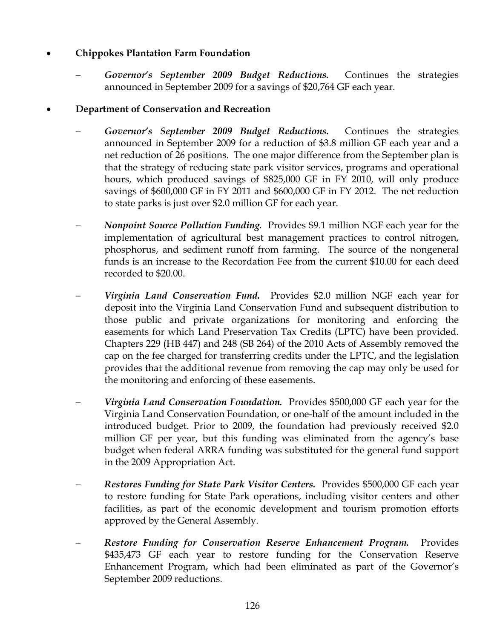# • **Chippokes Plantation Farm Foundation**

Governor's September 2009 Budget Reductions. Continues the strategies announced in September 2009 for a savings of \$20,764 GF each year.

# • **Department of Conservation and Recreation**

- − *Governor's September 2009 Budget Reductions.* Continues the strategies announced in September 2009 for a reduction of \$3.8 million GF each year and a net reduction of 26 positions. The one major difference from the September plan is that the strategy of reducing state park visitor services, programs and operational hours, which produced savings of \$825,000 GF in FY 2010, will only produce savings of \$600,000 GF in FY 2011 and \$600,000 GF in FY 2012. The net reduction to state parks is just over \$2.0 million GF for each year.
- *Nonpoint Source Pollution Funding.* Provides \$9.1 million NGF each year for the implementation of agricultural best management practices to control nitrogen, phosphorus, and sediment runoff from farming. The source of the nongeneral funds is an increase to the Recordation Fee from the current \$10.00 for each deed recorded to \$20.00.
- − *Virginia Land Conservation Fund.* Provides \$2.0 million NGF each year for deposit into the Virginia Land Conservation Fund and subsequent distribution to those public and private organizations for monitoring and enforcing the easements for which Land Preservation Tax Credits (LPTC) have been provided. Chapters 229 (HB 447) and 248 (SB 264) of the 2010 Acts of Assembly removed the cap on the fee charged for transferring credits under the LPTC, and the legislation provides that the additional revenue from removing the cap may only be used for the monitoring and enforcing of these easements.
- − *Virginia Land Conservation Foundation.* Provides \$500,000 GF each year for the Virginia Land Conservation Foundation, or one-half of the amount included in the introduced budget. Prior to 2009, the foundation had previously received \$2.0 million GF per year, but this funding was eliminated from the agency's base budget when federal ARRA funding was substituted for the general fund support in the 2009 Appropriation Act.
- − *Restores Funding for State Park Visitor Centers.* Provides \$500,000 GF each year to restore funding for State Park operations, including visitor centers and other facilities, as part of the economic development and tourism promotion efforts approved by the General Assembly.
- **Restore Funding for Conservation Reserve Enhancement Program.** Provides \$435,473 GF each year to restore funding for the Conservation Reserve Enhancement Program, which had been eliminated as part of the Governor's September 2009 reductions.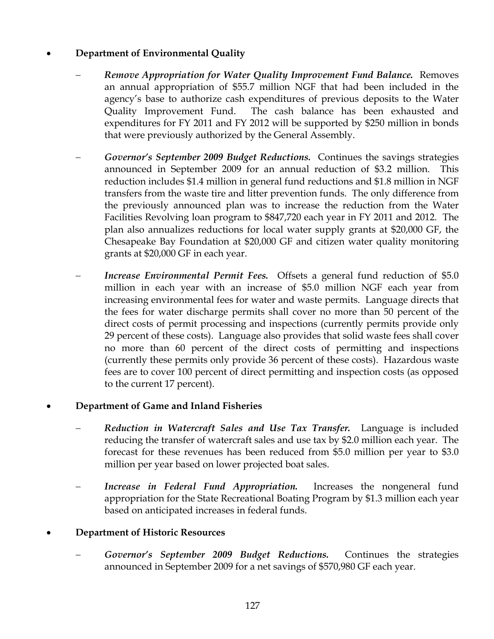## • **Department of Environmental Quality**

- − *Remove Appropriation for Water Quality Improvement Fund Balance.* Removes an annual appropriation of \$55.7 million NGF that had been included in the agency's base to authorize cash expenditures of previous deposits to the Water Quality Improvement Fund. The cash balance has been exhausted and expenditures for FY 2011 and FY 2012 will be supported by \$250 million in bonds that were previously authorized by the General Assembly.
- − *Governor's September 2009 Budget Reductions.* Continues the savings strategies announced in September 2009 for an annual reduction of \$3.2 million. This reduction includes \$1.4 million in general fund reductions and \$1.8 million in NGF transfers from the waste tire and litter prevention funds. The only difference from the previously announced plan was to increase the reduction from the Water Facilities Revolving loan program to \$847,720 each year in FY 2011 and 2012. The plan also annualizes reductions for local water supply grants at \$20,000 GF, the Chesapeake Bay Foundation at \$20,000 GF and citizen water quality monitoring grants at \$20,000 GF in each year.
- *Increase Environmental Permit Fees.* Offsets a general fund reduction of \$5.0 million in each year with an increase of \$5.0 million NGF each year from increasing environmental fees for water and waste permits. Language directs that the fees for water discharge permits shall cover no more than 50 percent of the direct costs of permit processing and inspections (currently permits provide only 29 percent of these costs). Language also provides that solid waste fees shall cover no more than 60 percent of the direct costs of permitting and inspections (currently these permits only provide 36 percent of these costs). Hazardous waste fees are to cover 100 percent of direct permitting and inspection costs (as opposed to the current 17 percent).

#### • **Department of Game and Inland Fisheries**

- − *Reduction in Watercraft Sales and Use Tax Transfer.* Language is included reducing the transfer of watercraft sales and use tax by \$2.0 million each year. The forecast for these revenues has been reduced from \$5.0 million per year to \$3.0 million per year based on lower projected boat sales.
- *Increase in Federal Fund Appropriation*. Increases the nongeneral fund appropriation for the State Recreational Boating Program by \$1.3 million each year based on anticipated increases in federal funds.

#### • **Department of Historic Resources**

− *Governor's September 2009 Budget Reductions.* Continues the strategies announced in September 2009 for a net savings of \$570,980 GF each year.